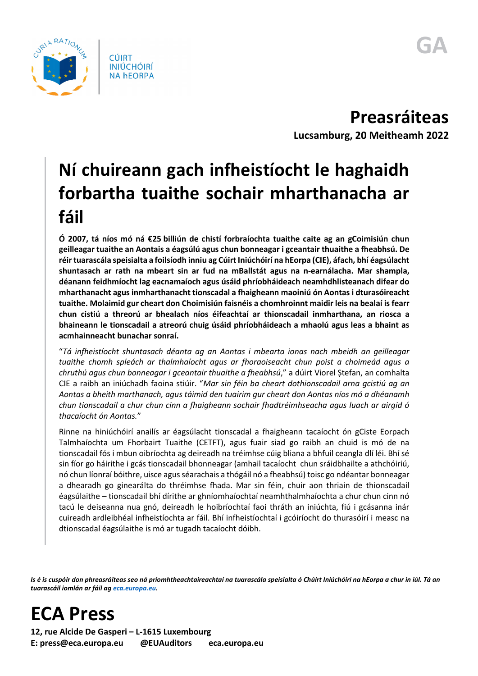

**Preasráiteas Lucsamburg, 20 Meitheamh 2022**

## **Ní chuireann gach infheistíocht le haghaidh forbartha tuaithe sochair mharthanacha ar fáil**

**Ó 2007, tá níos mó ná €25 billiún de chistí forbraíochta tuaithe caite ag an gCoimisiún chun geilleagar tuaithe an Aontais a éagsúlú agus chun bonneagar i gceantair thuaithe a fheabhsú. De réir tuarascála speisialta a foilsíodh inniu ag Cúirt Iniúchóirí na hEorpa (CIE), áfach, bhí éagsúlacht shuntasach ar rath na mbeart sin ar fud na mBallstát agus na n-earnálacha. Mar shampla, déanann feidhmíocht lag eacnamaíoch agus úsáid phríobháideach neamhdhlisteanach difear do mharthanacht agus inmharthanacht tionscadal a fhaigheann maoiniú ón Aontas i dturasóireacht tuaithe. Molaimid gur cheart don Choimisiún faisnéis a chomhroinnt maidir leis na bealaí is fearr chun cistiú a threorú ar bhealach níos éifeachtaí ar thionscadail inmharthana, an riosca a bhaineann le tionscadail a atreorú chuig úsáid phríobháideach a mhaolú agus leas a bhaint as acmhainneacht bunachar sonraí.**

"*Tá infheistíocht shuntasach déanta ag an Aontas i mbearta ionas nach mbeidh an geilleagar tuaithe chomh spleách ar thalmhaíocht agus ar fhoraoiseacht chun poist a choimeád agus a chruthú agus chun bonneagar i gceantair thuaithe a fheabhsú*," a dúirt Viorel Ștefan, an comhalta CIE a raibh an iniúchadh faoina stiúir. "*Mar sin féin ba cheart dothionscadail arna gcistiú ag an Aontas a bheith marthanach, agus táimid den tuairim gur cheart don Aontas níos mó a dhéanamh chun tionscadail a chur chun cinn a fhaigheann sochair fhadtréimhseacha agus luach ar airgid ó thacaíocht ón Aontas.*"

Rinne na hiniúchóirí anailís ar éagsúlacht tionscadal a fhaigheann tacaíocht ón gCiste Eorpach Talmhaíochta um Fhorbairt Tuaithe (CETFT), agus fuair siad go raibh an chuid is mó de na tionscadail fós i mbun oibríochta ag deireadh na tréimhse cúig bliana a bhfuil ceangla dlí léi. Bhí sé sin fíor go háirithe i gcás tionscadail bhonneagar (amhail tacaíocht chun sráidbhailte a athchóiriú, nó chun líonraí bóithre, uisce agus séarachais a thógáil nó a fheabhsú) toisc go ndéantar bonneagar a dhearadh go ginearálta do thréimhse fhada. Mar sin féin, chuir aon thriain de thionscadail éagsúlaithe – tionscadail bhí dírithe ar ghníomhaíochtaí neamhthalmhaíochta a chur chun cinn nó tacú le deiseanna nua gnó, deireadh le hoibríochtaí faoi thráth an iniúchta, fiú i gcásanna inár cuireadh ardleibhéal infheistíochta ar fáil. Bhí infheistíochtaí i gcóiríocht do thurasóirí i measc na dtionscadal éagsúlaithe is mó ar tugadh tacaíocht dóibh.

*Is é is cuspóir don phreasráiteas seo ná príomhtheachtaireachtaí na tuarascála speisialta ó Chúirt Iniúchóirí na hEorpa a chur in iúl. Tá an tuarascáil iomlán ar fáil a[g eca.europa.eu.](https://www.eca.europa.eu/)*

**ECA Press**

**12, rue Alcide De Gasperi – L-1615 Luxembourg E: press@eca.europa.eu @EUAuditors eca.europa.eu**